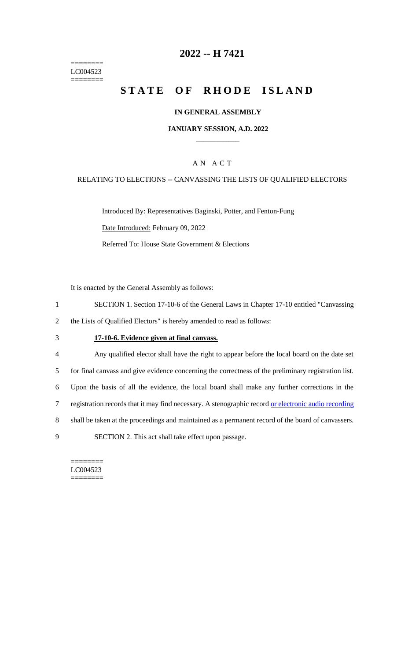======== LC004523 ========

## **2022 -- H 7421**

# **STATE OF RHODE ISLAND**

#### **IN GENERAL ASSEMBLY**

#### **JANUARY SESSION, A.D. 2022 \_\_\_\_\_\_\_\_\_\_\_\_**

### A N A C T

#### RELATING TO ELECTIONS -- CANVASSING THE LISTS OF QUALIFIED ELECTORS

Introduced By: Representatives Baginski, Potter, and Fenton-Fung Date Introduced: February 09, 2022 Referred To: House State Government & Elections

It is enacted by the General Assembly as follows:

- 1 SECTION 1. Section 17-10-6 of the General Laws in Chapter 17-10 entitled "Canvassing
- 2 the Lists of Qualified Electors" is hereby amended to read as follows:

## 3 **17-10-6. Evidence given at final canvass.**

- 4 Any qualified elector shall have the right to appear before the local board on the date set
- 5 for final canvass and give evidence concerning the correctness of the preliminary registration list.
- 6 Upon the basis of all the evidence, the local board shall make any further corrections in the
- 7 registration records that it may find necessary. A stenographic record or electronic audio recording
- 8 shall be taken at the proceedings and maintained as a permanent record of the board of canvassers.
- 9 SECTION 2. This act shall take effect upon passage.

======== LC004523 ========